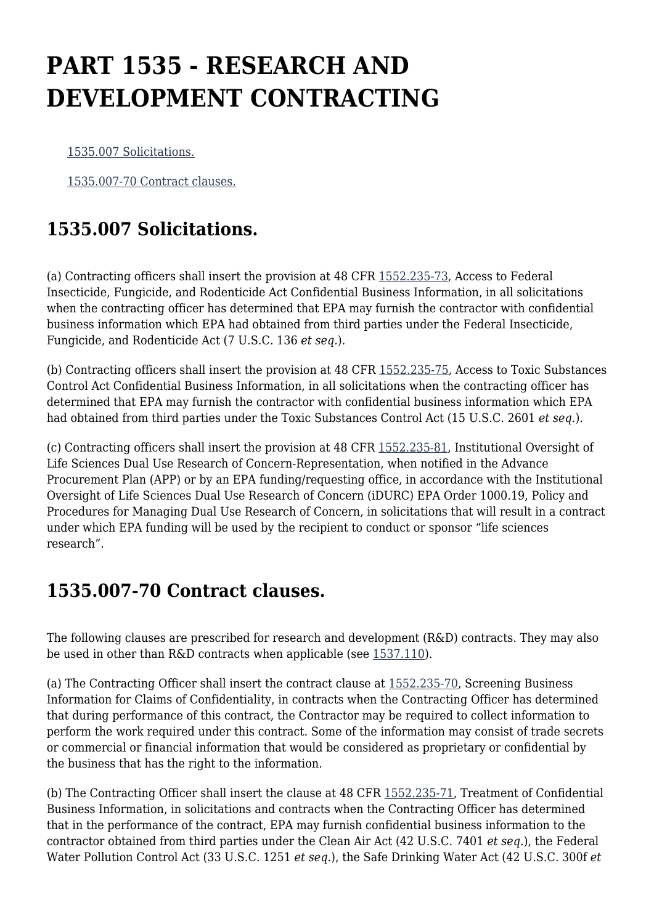## **PART 1535 - RESEARCH AND DEVELOPMENT CONTRACTING**

[1535.007 Solicitations.](https://origin-www.acquisition.gov/%5Brp:link:epaar-part-1535%5D#Section_1535_007_T48_601629011)

[1535.007-70 Contract clauses.](https://origin-www.acquisition.gov/%5Brp:link:epaar-part-1535%5D#Section_1535_007_70_T48_601629012)

## **1535.007 Solicitations.**

(a) Contracting officers shall insert the provision at 48 CFR [1552.235-73](https://origin-www.acquisition.gov/%5Brp:link:epaar-part-1552%5D#Section_1552_235_73_T48_6018371163), Access to Federal Insecticide, Fungicide, and Rodenticide Act Confidential Business Information, in all solicitations when the contracting officer has determined that EPA may furnish the contractor with confidential business information which EPA had obtained from third parties under the Federal Insecticide, Fungicide, and Rodenticide Act (7 U.S.C. 136 *et seq.*).

(b) Contracting officers shall insert the provision at 48 CFR [1552.235-75](https://origin-www.acquisition.gov/%5Brp:link:epaar-part-1552%5D#Section_1552_235_75_T48_6018371165), Access to Toxic Substances Control Act Confidential Business Information, in all solicitations when the contracting officer has determined that EPA may furnish the contractor with confidential business information which EPA had obtained from third parties under the Toxic Substances Control Act (15 U.S.C. 2601 *et seq.*).

(c) Contracting officers shall insert the provision at 48 CFR [1552.235-81,](https://origin-www.acquisition.gov/%5Brp:link:epaar-part-1552%5D#Section_1552_235_81_T48_6018371171) Institutional Oversight of Life Sciences Dual Use Research of Concern-Representation, when notified in the Advance Procurement Plan (APP) or by an EPA funding/requesting office, in accordance with the Institutional Oversight of Life Sciences Dual Use Research of Concern (iDURC) EPA Order 1000.19, Policy and Procedures for Managing Dual Use Research of Concern, in solicitations that will result in a contract under which EPA funding will be used by the recipient to conduct or sponsor "life sciences research".

## **1535.007-70 Contract clauses.**

The following clauses are prescribed for research and development (R&D) contracts. They may also be used in other than R&D contracts when applicable (see [1537.110\)](https://origin-www.acquisition.gov/%5Brp:link:epaar-part-1537%5D#Section_1537_110_T48_601631111).

(a) The Contracting Officer shall insert the contract clause at [1552.235-70](https://origin-www.acquisition.gov/%5Brp:link:epaar-part-1552%5D#Section_1552_235_70_T48_6018371160), Screening Business Information for Claims of Confidentiality, in contracts when the Contracting Officer has determined that during performance of this contract, the Contractor may be required to collect information to perform the work required under this contract. Some of the information may consist of trade secrets or commercial or financial information that would be considered as proprietary or confidential by the business that has the right to the information.

(b) The Contracting Officer shall insert the clause at 48 CFR [1552.235-71](https://origin-www.acquisition.gov/%5Brp:link:epaar-part-1552%5D#Section_1552_235_71_T48_6018371161), Treatment of Confidential Business Information, in solicitations and contracts when the Contracting Officer has determined that in the performance of the contract, EPA may furnish confidential business information to the contractor obtained from third parties under the Clean Air Act (42 U.S.C. 7401 *et seq.*), the Federal Water Pollution Control Act (33 U.S.C. 1251 *et seq.*), the Safe Drinking Water Act (42 U.S.C. 300f *et*